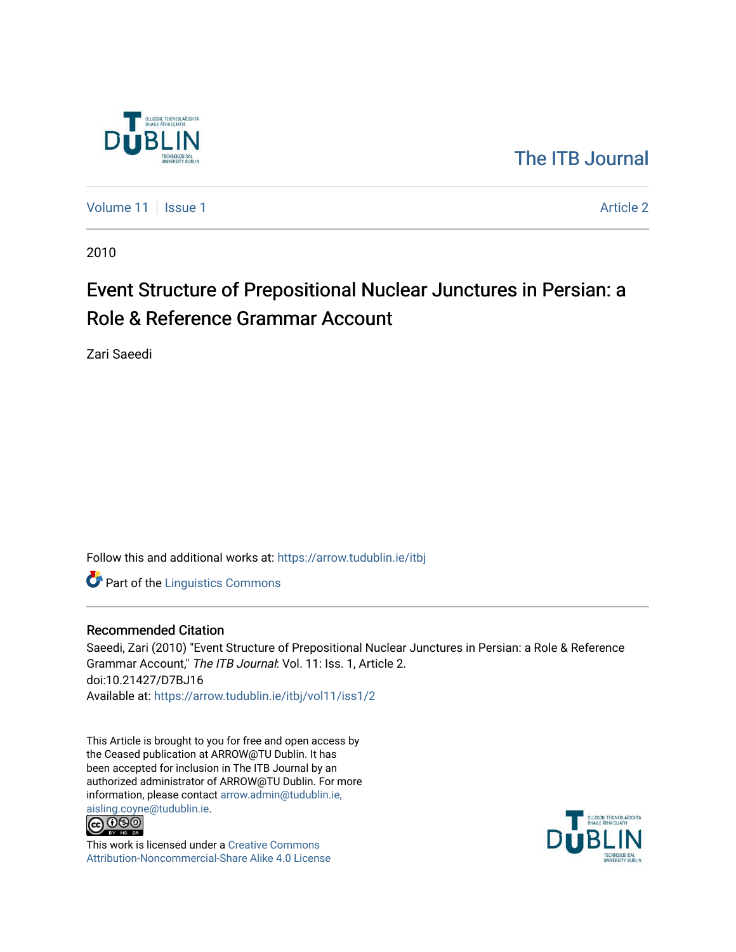

# [The ITB Journal](https://arrow.tudublin.ie/itbj)

[Volume 11](https://arrow.tudublin.ie/itbj/vol11) | [Issue 1](https://arrow.tudublin.ie/itbj/vol11/iss1) Article 2

2010

# Event Structure of Prepositional Nuclear Junctures in Persian: a Role & Reference Grammar Account

Zari Saeedi

Follow this and additional works at: [https://arrow.tudublin.ie/itbj](https://arrow.tudublin.ie/itbj?utm_source=arrow.tudublin.ie%2Fitbj%2Fvol11%2Fiss1%2F2&utm_medium=PDF&utm_campaign=PDFCoverPages) 

**Part of the Linguistics Commons** 

#### Recommended Citation

Saeedi, Zari (2010) "Event Structure of Prepositional Nuclear Junctures in Persian: a Role & Reference Grammar Account," The ITB Journal: Vol. 11: Iss. 1, Article 2. doi:10.21427/D7BJ16 Available at: [https://arrow.tudublin.ie/itbj/vol11/iss1/2](https://arrow.tudublin.ie/itbj/vol11/iss1/2?utm_source=arrow.tudublin.ie%2Fitbj%2Fvol11%2Fiss1%2F2&utm_medium=PDF&utm_campaign=PDFCoverPages)

This Article is brought to you for free and open access by the Ceased publication at ARROW@TU Dublin. It has been accepted for inclusion in The ITB Journal by an authorized administrator of ARROW@TU Dublin. For more information, please contact [arrow.admin@tudublin.ie,](mailto:arrow.admin@tudublin.ie,%20aisling.coyne@tudublin.ie)  [aisling.coyne@tudublin.ie.](mailto:arrow.admin@tudublin.ie,%20aisling.coyne@tudublin.ie)



This work is licensed under a [Creative Commons](http://creativecommons.org/licenses/by-nc-sa/4.0/) [Attribution-Noncommercial-Share Alike 4.0 License](http://creativecommons.org/licenses/by-nc-sa/4.0/)

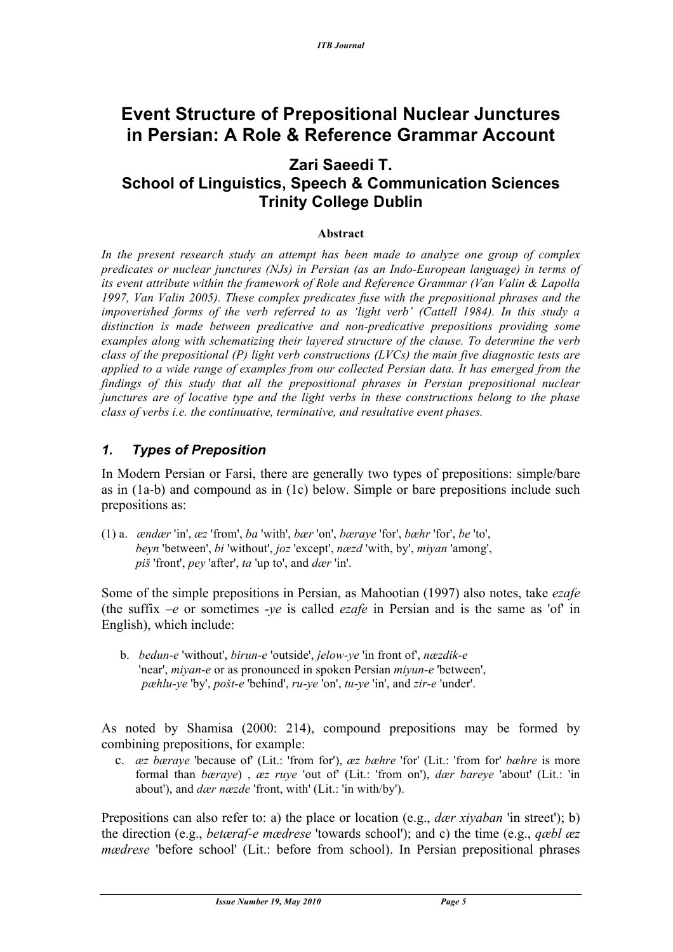# **Event Structure of Prepositional Nuclear Junctures in Persian: A Role & Reference Grammar Account**

### **Zari Saeedi T. School of Linguistics, Speech & Communication Sciences Trinity College Dublin**

#### **Abstract**

*In the present research study an attempt has been made to analyze one group of complex predicates or nuclear junctures (NJs) in Persian (as an Indo-European language) in terms of its event attribute within the framework of Role and Reference Grammar (Van Valin & Lapolla 1997, Van Valin 2005). These complex predicates fuse with the prepositional phrases and the impoverished forms of the verb referred to as 'light verb' (Cattell 1984). In this study a distinction is made between predicative and non-predicative prepositions providing some examples along with schematizing their layered structure of the clause. To determine the verb class of the prepositional (P) light verb constructions (LVCs) the main five diagnostic tests are applied to a wide range of examples from our collected Persian data. It has emerged from the findings of this study that all the prepositional phrases in Persian prepositional nuclear junctures are of locative type and the light verbs in these constructions belong to the phase class of verbs i.e. the continuative, terminative, and resultative event phases.* 

#### *1. Types of Preposition*

In Modern Persian or Farsi, there are generally two types of prepositions: simple/bare as in (1a-b) and compound as in (1c) below. Simple or bare prepositions include such prepositions as:

(1) a. *ændær* 'in', *æz* 'from', *ba* 'with', *bær* 'on', *bæraye* 'for', *bæhr* 'for', *be* 'to', *beyn* 'between', *bi* 'without', *joz* 'except', *næzd* 'with, by', *miyan* 'among', *piš* 'front', *pey* 'after', *ta* 'up to', and *dær* 'in'.

Some of the simple prepositions in Persian, as Mahootian (1997) also notes, take *ezafe* (the suffix –*e* or sometimes -*ye* is called *ezafe* in Persian and is the same as 'of' in English), which include:

 b. *bedun-e* 'without', *birun-e* 'outside', *jelow-ye* 'in front of', *næzdik-e* 'near', *miyan-e* or as pronounced in spoken Persian *miyun-e* 'between', *pæhlu-ye* 'by', *pošt-e* 'behind', *ru-ye* 'on', *tu-ye* 'in', and *zir-e* 'under'.

As noted by Shamisa (2000: 214), compound prepositions may be formed by combining prepositions, for example:

c. *æz bæraye* 'because of' (Lit.: 'from for'), *æz bæhre* 'for' (Lit.: 'from for' *bæhre* is more formal than *bæraye*) , *æz ruye* 'out of' (Lit.: 'from on'), *dær bareye* 'about' (Lit.: 'in about'), and *dær næzde* 'front, with' (Lit.: 'in with/by').

Prepositions can also refer to: a) the place or location (e.g., *dær xiyaban* 'in street'); b) the direction (e.g., *betæraf-e mædrese* 'towards school'); and c) the time (e.g., *qæbl æz mædrese* 'before school' (Lit.: before from school). In Persian prepositional phrases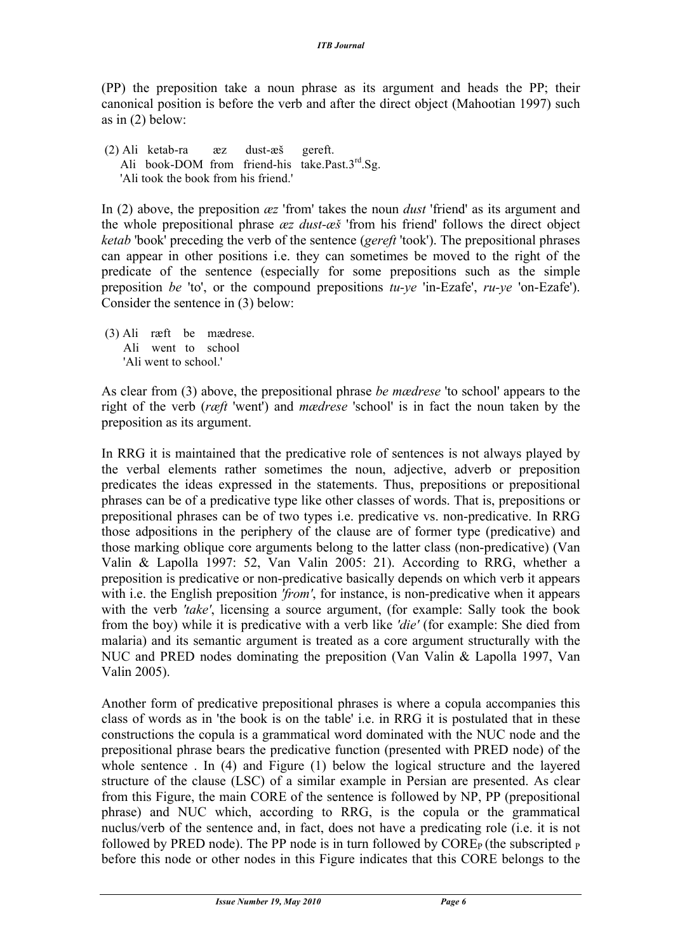(PP) the preposition take a noun phrase as its argument and heads the PP; their canonical position is before the verb and after the direct object (Mahootian 1997) such as in (2) below:

 (2) Ali ketab-ra æz dust-æš gereft. Ali book-DOM from friend-his take.Past. $3<sup>rd</sup>$ .Sg. 'Ali took the book from his friend.'

In (2) above, the preposition *æz* 'from' takes the noun *dust* 'friend' as its argument and the whole prepositional phrase *æz dust-æš* 'from his friend' follows the direct object *ketab* 'book' preceding the verb of the sentence (*gereft* 'took'). The prepositional phrases can appear in other positions i.e. they can sometimes be moved to the right of the predicate of the sentence (especially for some prepositions such as the simple preposition *be* 'to', or the compound prepositions *tu-ye* 'in-Ezafe', *ru-ye* 'on-Ezafe'). Consider the sentence in (3) below:

(3) Ali ræft be mædrese. Ali went to school 'Ali went to school.'

As clear from (3) above, the prepositional phrase *be mædrese* 'to school' appears to the right of the verb (*ræft* 'went') and *mædrese* 'school' is in fact the noun taken by the preposition as its argument.

In RRG it is maintained that the predicative role of sentences is not always played by the verbal elements rather sometimes the noun, adjective, adverb or preposition predicates the ideas expressed in the statements. Thus, prepositions or prepositional phrases can be of a predicative type like other classes of words. That is, prepositions or prepositional phrases can be of two types i.e. predicative vs. non-predicative. In RRG those adpositions in the periphery of the clause are of former type (predicative) and those marking oblique core arguments belong to the latter class (non-predicative) (Van Valin & Lapolla 1997: 52, Van Valin 2005: 21). According to RRG, whether a preposition is predicative or non-predicative basically depends on which verb it appears with i.e. the English preposition *'from'*, for instance, is non-predicative when it appears with the verb *'take'*, licensing a source argument, (for example: Sally took the book from the boy) while it is predicative with a verb like *'die'* (for example: She died from malaria) and its semantic argument is treated as a core argument structurally with the NUC and PRED nodes dominating the preposition (Van Valin & Lapolla 1997, Van Valin 2005).

Another form of predicative prepositional phrases is where a copula accompanies this class of words as in 'the book is on the table' i.e. in RRG it is postulated that in these constructions the copula is a grammatical word dominated with the NUC node and the prepositional phrase bears the predicative function (presented with PRED node) of the whole sentence. In (4) and Figure (1) below the logical structure and the layered structure of the clause (LSC) of a similar example in Persian are presented. As clear from this Figure, the main CORE of the sentence is followed by NP, PP (prepositional phrase) and NUC which, according to RRG, is the copula or the grammatical nuclus/verb of the sentence and, in fact, does not have a predicating role (i.e. it is not followed by PRED node). The PP node is in turn followed by  $COREP$  (the subscripted  $P$ before this node or other nodes in this Figure indicates that this CORE belongs to the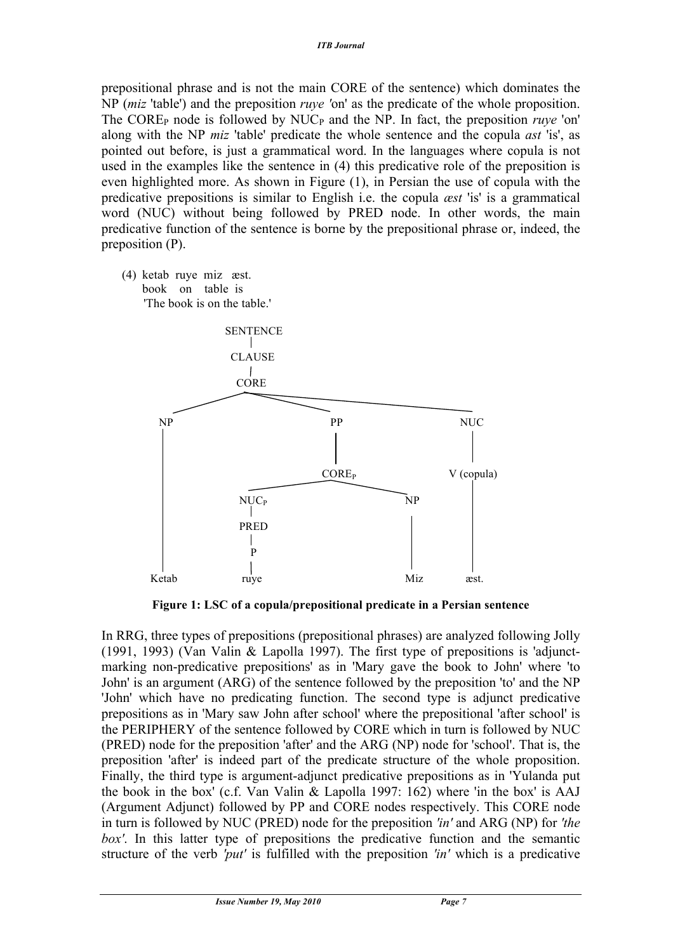prepositional phrase and is not the main CORE of the sentence) which dominates the NP (*miz* 'table') and the preposition *ruye '*on' as the predicate of the whole proposition. The CORE<sub>P</sub> node is followed by NUC<sub>P</sub> and the NP. In fact, the preposition *ruye* 'on' along with the NP *miz* 'table' predicate the whole sentence and the copula *ast* 'is', as pointed out before, is just a grammatical word. In the languages where copula is not used in the examples like the sentence in (4) this predicative role of the preposition is even highlighted more. As shown in Figure (1), in Persian the use of copula with the predicative prepositions is similar to English i.e. the copula *æst* 'is' is a grammatical word (NUC) without being followed by PRED node. In other words, the main predicative function of the sentence is borne by the prepositional phrase or, indeed, the preposition (P).

(4) ketab ruye miz æst. book on table is 'The book is on the table.'



**Figure 1: LSC of a copula/prepositional predicate in a Persian sentence**

In RRG, three types of prepositions (prepositional phrases) are analyzed following Jolly (1991, 1993) (Van Valin & Lapolla 1997). The first type of prepositions is 'adjunctmarking non-predicative prepositions' as in 'Mary gave the book to John' where 'to John' is an argument (ARG) of the sentence followed by the preposition 'to' and the NP 'John' which have no predicating function. The second type is adjunct predicative prepositions as in 'Mary saw John after school' where the prepositional 'after school' is the PERIPHERY of the sentence followed by CORE which in turn is followed by NUC (PRED) node for the preposition 'after' and the ARG (NP) node for 'school'. That is, the preposition 'after' is indeed part of the predicate structure of the whole proposition. Finally, the third type is argument-adjunct predicative prepositions as in 'Yulanda put the book in the box' (c.f. Van Valin & Lapolla 1997: 162) where 'in the box' is AAJ (Argument Adjunct) followed by PP and CORE nodes respectively. This CORE node in turn is followed by NUC (PRED) node for the preposition *'in'* and ARG (NP) for *'the box'*. In this latter type of prepositions the predicative function and the semantic structure of the verb *'put'* is fulfilled with the preposition *'in'* which is a predicative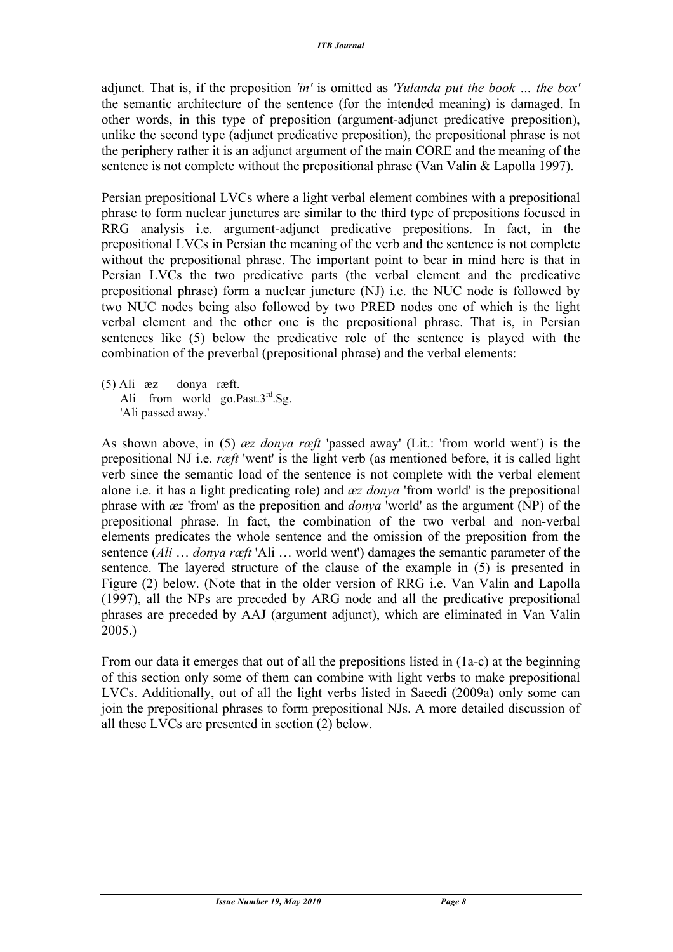adjunct. That is, if the preposition *'in'* is omitted as *'Yulanda put the book … the box'* the semantic architecture of the sentence (for the intended meaning) is damaged. In other words, in this type of preposition (argument-adjunct predicative preposition), unlike the second type (adjunct predicative preposition), the prepositional phrase is not the periphery rather it is an adjunct argument of the main CORE and the meaning of the sentence is not complete without the prepositional phrase (Van Valin & Lapolla 1997).

Persian prepositional LVCs where a light verbal element combines with a prepositional phrase to form nuclear junctures are similar to the third type of prepositions focused in RRG analysis i.e. argument-adjunct predicative prepositions. In fact, in the prepositional LVCs in Persian the meaning of the verb and the sentence is not complete without the prepositional phrase. The important point to bear in mind here is that in Persian LVCs the two predicative parts (the verbal element and the predicative prepositional phrase) form a nuclear juncture (NJ) i.e. the NUC node is followed by two NUC nodes being also followed by two PRED nodes one of which is the light verbal element and the other one is the prepositional phrase. That is, in Persian sentences like (5) below the predicative role of the sentence is played with the combination of the preverbal (prepositional phrase) and the verbal elements:

(5) Ali æz donya ræft. Ali from world go.Past. $3<sup>rd</sup>$ .Sg. 'Ali passed away.'

As shown above, in (5) *æz donya ræft* 'passed away' (Lit.: 'from world went') is the prepositional NJ i.e. *ræft* 'went' is the light verb (as mentioned before, it is called light verb since the semantic load of the sentence is not complete with the verbal element alone i.e. it has a light predicating role) and *æz donya* 'from world' is the prepositional phrase with *æz* 'from' as the preposition and *donya* 'world' as the argument (NP) of the prepositional phrase. In fact, the combination of the two verbal and non-verbal elements predicates the whole sentence and the omission of the preposition from the sentence (*Ali* … *donya ræft* 'Ali … world went') damages the semantic parameter of the sentence. The layered structure of the clause of the example in (5) is presented in Figure (2) below. (Note that in the older version of RRG i.e. Van Valin and Lapolla (1997), all the NPs are preceded by ARG node and all the predicative prepositional phrases are preceded by AAJ (argument adjunct), which are eliminated in Van Valin 2005.)

From our data it emerges that out of all the prepositions listed in (1a-c) at the beginning of this section only some of them can combine with light verbs to make prepositional LVCs. Additionally, out of all the light verbs listed in Saeedi (2009a) only some can join the prepositional phrases to form prepositional NJs. A more detailed discussion of all these LVCs are presented in section (2) below.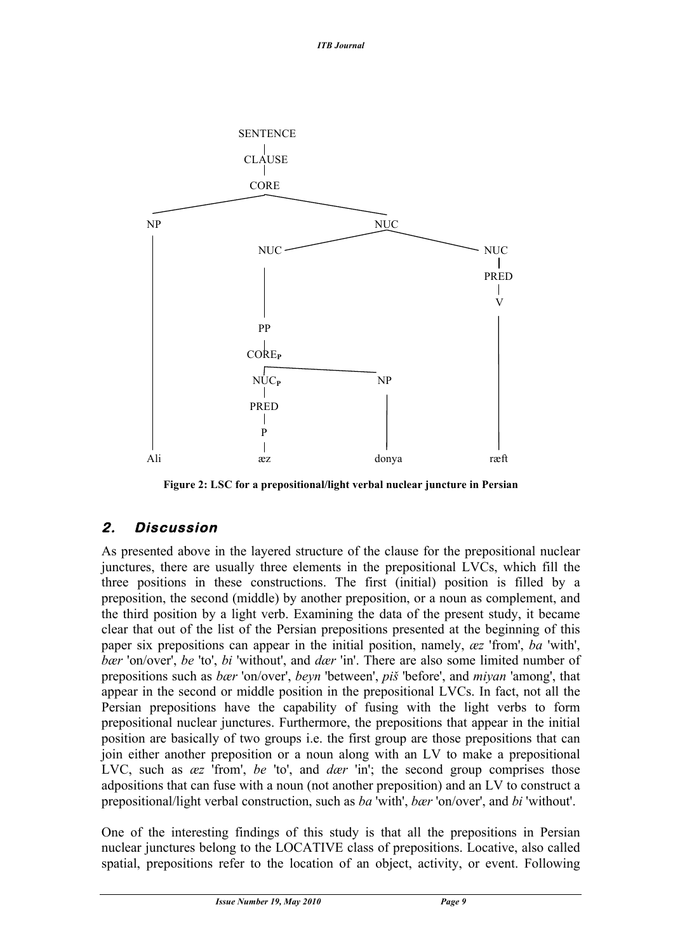

**Figure 2: LSC for a prepositional/light verbal nuclear juncture in Persian**

### **2. Discussion**

As presented above in the layered structure of the clause for the prepositional nuclear junctures, there are usually three elements in the prepositional LVCs, which fill the three positions in these constructions. The first (initial) position is filled by a preposition, the second (middle) by another preposition, or a noun as complement, and the third position by a light verb. Examining the data of the present study, it became clear that out of the list of the Persian prepositions presented at the beginning of this paper six prepositions can appear in the initial position, namely, *æz* 'from', *ba* 'with', *bær* 'on/over', *be* 'to', *bi* 'without', and *dær* 'in'. There are also some limited number of prepositions such as *bær* 'on/over', *beyn* 'between', *piš* 'before', and *miyan* 'among', that appear in the second or middle position in the prepositional LVCs. In fact, not all the Persian prepositions have the capability of fusing with the light verbs to form prepositional nuclear junctures. Furthermore, the prepositions that appear in the initial position are basically of two groups i.e. the first group are those prepositions that can join either another preposition or a noun along with an LV to make a prepositional LVC, such as *æz* 'from', *be* 'to', and *dær* 'in'; the second group comprises those adpositions that can fuse with a noun (not another preposition) and an LV to construct a prepositional/light verbal construction, such as *ba* 'with', *bær* 'on/over', and *bi* 'without'.

One of the interesting findings of this study is that all the prepositions in Persian nuclear junctures belong to the LOCATIVE class of prepositions. Locative, also called spatial, prepositions refer to the location of an object, activity, or event. Following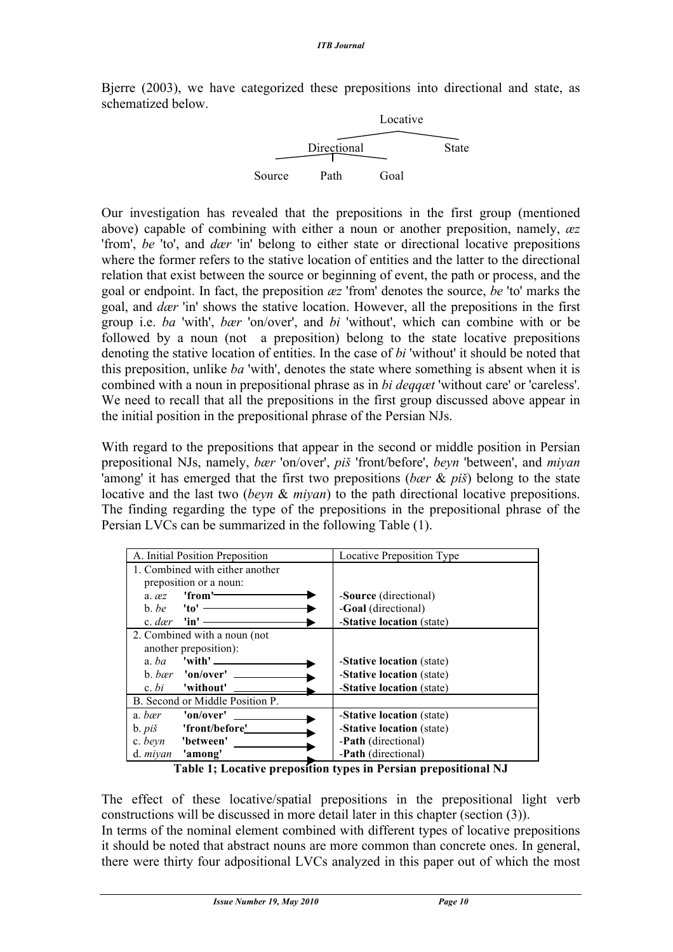Bjerre (2003), we have categorized these prepositions into directional and state, as schematized below.



Our investigation has revealed that the prepositions in the first group (mentioned above) capable of combining with either a noun or another preposition, namely, *æz* 'from', *be* 'to', and *dær* 'in' belong to either state or directional locative prepositions where the former refers to the stative location of entities and the latter to the directional relation that exist between the source or beginning of event, the path or process, and the goal or endpoint. In fact, the preposition *æz* 'from' denotes the source, *be* 'to' marks the goal, and *dær* 'in' shows the stative location. However, all the prepositions in the first group i.e. *ba* 'with', *bær* 'on/over', and *bi* 'without', which can combine with or be followed by a noun (not a preposition) belong to the state locative prepositions denoting the stative location of entities. In the case of *bi* 'without' it should be noted that this preposition, unlike *ba* 'with', denotes the state where something is absent when it is combined with a noun in prepositional phrase as in *bi deqqæt* 'without care' or 'careless'. We need to recall that all the prepositions in the first group discussed above appear in the initial position in the prepositional phrase of the Persian NJs.

With regard to the prepositions that appear in the second or middle position in Persian prepositional NJs, namely, *bær* 'on/over', *piš* 'front/before', *beyn* 'between', and *miyan* 'among' it has emerged that the first two prepositions (*bær* & *piš*) belong to the state locative and the last two (*beyn* & *miyan*) to the path directional locative prepositions. The finding regarding the type of the prepositions in the prepositional phrase of the Persian LVCs can be summarized in the following Table (1).

| A. Initial Position Preposition                           | <b>Locative Preposition Type</b>  |
|-----------------------------------------------------------|-----------------------------------|
| 1. Combined with either another                           |                                   |
| preposition or a noun:                                    |                                   |
| 'from' <del>-------</del><br>$a.$ $\alpha z$              | - <b>Source</b> (directional)     |
| b. be $\mathbf{v}$ $\mathbf{v}$ $\mathbf{v}$ $\mathbf{v}$ | -Goal (directional)               |
| c. dær $\lim$ —                                           | -Stative location (state)         |
| 2. Combined with a noun (not                              |                                   |
| another preposition):                                     |                                   |
| a. $ba$ 'with' —                                          | - <b>Stative location</b> (state) |
| b. bær 'on/over' $\_\_$                                   | -Stative location (state)         |
| c. $bi$ 'without'                                         | -Stative location (state)         |
| B. Second or Middle Position P.                           |                                   |
| 'on/over'<br>a. bær                                       | - <b>Stative location</b> (state) |
| 'front/before'<br>$b. pi\check{s}$                        | - <b>Stative location</b> (state) |
| c. beyn<br>'between'                                      | -Path (directional)               |
| 'among'<br>d. <i>miyan</i>                                | -Path (directional)               |

**Table 1; Locative preposition types in Persian prepositional NJ**

The effect of these locative/spatial prepositions in the prepositional light verb constructions will be discussed in more detail later in this chapter (section (3)). In terms of the nominal element combined with different types of locative prepositions it should be noted that abstract nouns are more common than concrete ones. In general, there were thirty four adpositional LVCs analyzed in this paper out of which the most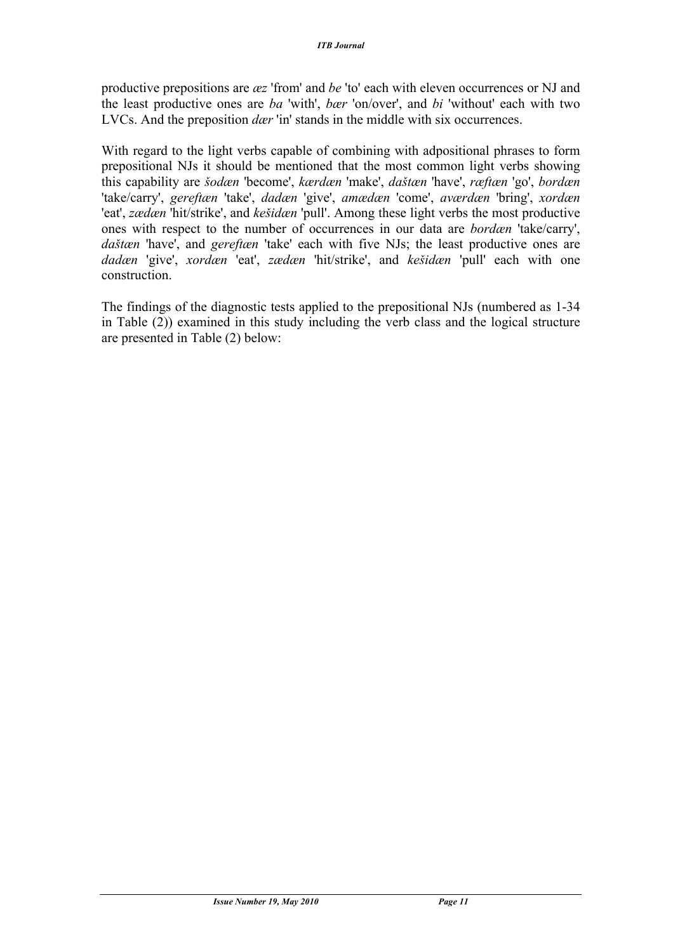productive prepositions are *æz* 'from' and *be* 'to' each with eleven occurrences or NJ and the least productive ones are *ba* 'with', *bær* 'on/over', and *bi* 'without' each with two LVCs. And the preposition *dær* 'in' stands in the middle with six occurrences.

With regard to the light verbs capable of combining with adpositional phrases to form prepositional NJs it should be mentioned that the most common light verbs showing this capability are *šodæn* 'become', *kærdæn* 'make', *daštæn* 'have', *ræftæn* 'go', *bordæn* 'take/carry', *gereftæn* 'take', *dadæn* 'give', *amædæn* 'come', *aværdæn* 'bring', *xordæn* 'eat', *zædæn* 'hit/strike', and *kešidæn* 'pull'. Among these light verbs the most productive ones with respect to the number of occurrences in our data are *bordæn* 'take/carry', *daštæn* 'have', and *gereftæn* 'take' each with five NJs; the least productive ones are *dadæn* 'give', *xordæn* 'eat', *zædæn* 'hit/strike', and *kešidæn* 'pull' each with one construction.

The findings of the diagnostic tests applied to the prepositional NJs (numbered as 1-34 in Table (2)) examined in this study including the verb class and the logical structure are presented in Table (2) below: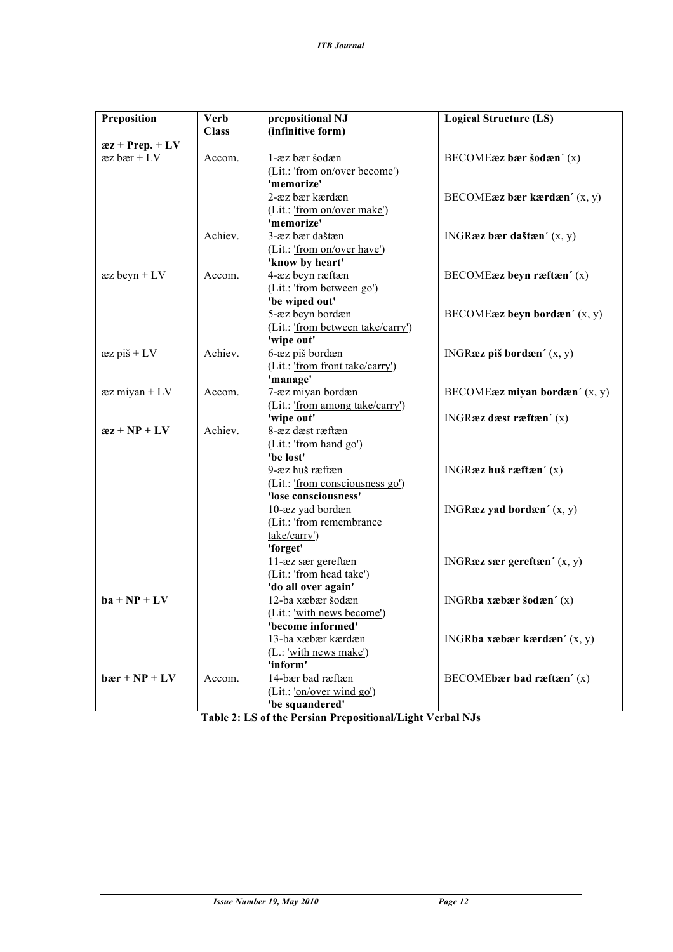| Preposition                  | <b>Verb</b>  | prepositional NJ                  | <b>Logical Structure (LS)</b>                                                   |
|------------------------------|--------------|-----------------------------------|---------------------------------------------------------------------------------|
|                              | <b>Class</b> | (infinitive form)                 |                                                                                 |
| $xz + Prep. + L\overline{V}$ |              |                                   |                                                                                 |
| $xz \, bar + LV$             | Accom.       | 1-æz bær šodæn                    | BECOMEæz bær šodæn' (x)                                                         |
|                              |              | (Lit.: 'from on/over become')     |                                                                                 |
|                              |              | 'memorize'                        |                                                                                 |
|                              |              | 2-æz bær kærdæn                   | BECOME <b>æz</b> bær kærdæn' (x, y)                                             |
|                              |              | (Lit.: 'from on/over make')       |                                                                                 |
|                              |              | 'memorize'                        |                                                                                 |
|                              | Achiev.      | 3-æz bær daštæn                   | INGRæz bær daštæn' (x, y)                                                       |
|                              |              | (Lit.: 'from on/over have')       |                                                                                 |
|                              |              | 'know by heart'                   |                                                                                 |
| $\text{az}$ beyn + LV        | Accom.       | 4-æz beyn ræftæn                  | BECOMEæz beyn ræftæn' (x)                                                       |
|                              |              | (Lit.: 'from between go')         |                                                                                 |
|                              |              | 'be wiped out'                    |                                                                                 |
|                              |              | 5-æz beyn bordæn                  | BECOMEæz beyn bordæn' (x, y)                                                    |
|                              |              | (Lit.: 'from between take/carry') |                                                                                 |
|                              |              | 'wipe out'                        |                                                                                 |
| $xz$ piš + LV                | Achiev.      | 6-æz piš bordæn                   | INGRæz piš bordæn' $(x, y)$                                                     |
|                              |              | (Lit.: 'from front take/carry')   |                                                                                 |
|                              |              | 'manage'                          |                                                                                 |
| $æz miyan + LV$              | Accom.       | 7-æz miyan bordæn                 | BECOME $\boldsymbol{\mathsf{az}}$ miyan bord $\boldsymbol{\mathsf{an}}'$ (x, y) |
|                              |              | (Lit.: 'from among take/carry')   |                                                                                 |
|                              |              | 'wipe out'                        | INGRæz dæst ræftæn' (x)                                                         |
| $az + NP + LV$               | Achiev.      | 8-æz dæst ræftæn                  |                                                                                 |
|                              |              | (Lit.: 'from hand go')            |                                                                                 |
|                              |              | 'be lost'                         |                                                                                 |
|                              |              | 9-æz huš ræftæn                   | INGRæz huš ræftæn $(x)$                                                         |
|                              |              | (Lit.: 'from consciousness go')   |                                                                                 |
|                              |              | 'lose consciousness'              |                                                                                 |
|                              |              | 10-æz yad bordæn                  | INGRæz yad bordæn' (x, y)                                                       |
|                              |              | (Lit.: 'from remembrance          |                                                                                 |
|                              |              | take/carry')                      |                                                                                 |
|                              |              | 'forget'                          |                                                                                 |
|                              |              | 11-æz sær gereftæn                | INGRæz sær gereftæn' $(x, y)$                                                   |
|                              |              | (Lit.: 'from head take')          |                                                                                 |
|                              |              | 'do all over again'               |                                                                                 |
| $ba + NP + LV$               |              | 12-ba xæbær šodæn                 | INGRba xæbær šodæn' (x)                                                         |
|                              |              | (Lit.: <u>'with news</u> become') |                                                                                 |
|                              |              | 'become informed'                 |                                                                                 |
|                              |              | 13-ba xæbær kærdæn                | INGR <b>ba</b> xæbær kærdæn' $(x, y)$                                           |
|                              |              | (L.: 'with news make')            |                                                                                 |
|                              |              | 'inform'                          |                                                                                 |
| $bar + NP + LV$              | Accom.       | 14-bær bad ræftæn                 | BECOMEbær bad ræftæn $'(x)$                                                     |
|                              |              | (Lit.: 'on/over wind go')         |                                                                                 |
|                              |              | 'be squandered'                   |                                                                                 |

**Table 2: LS of the Persian Prepositional/Light Verbal NJs**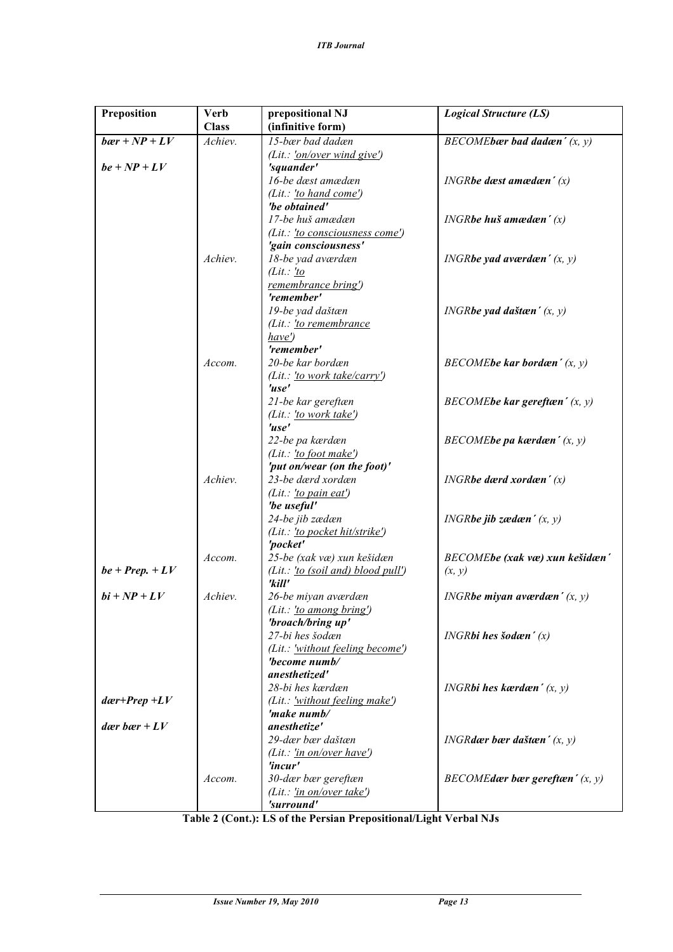| Preposition             | <b>Verb</b><br><b>Class</b> | prepositional NJ<br>(infinitive form)                  | <b>Logical Structure (LS)</b>          |
|-------------------------|-----------------------------|--------------------------------------------------------|----------------------------------------|
| $bær + NP + LV$         | Achiev.                     | 15-bær bad dadæn                                       | BECOME bar bad dadæn' $(x, y)$         |
|                         |                             | (Lit.: $\frac{I_{on}/over \text{over wind give}}{I}$ ) |                                        |
| $be + NP + LV$          |                             | 'squander'                                             |                                        |
|                         |                             | 16-be dæst amædæn                                      | INGRbe dæst amædæn' $(x)$              |
|                         |                             | (Lit.: 'to hand come')                                 |                                        |
|                         |                             | 'be obtained'                                          |                                        |
|                         |                             | 17-be huš amædæn                                       | INGR <b>be</b> huš amædæn' $(x)$       |
|                         |                             | (Lit.: 'to consciousness come')                        |                                        |
|                         |                             | 'gain consciousness'                                   |                                        |
|                         | Achiev.                     | 18-be yad aværdæn                                      | <i>INGRbe yad aværdæn'</i> $(x, y)$    |
|                         |                             | (Lit.: 'to                                             |                                        |
|                         |                             | remembrance bring')                                    |                                        |
|                         |                             | 'remember'                                             |                                        |
|                         |                             | 19-be yad daštæn                                       | INGR <b>be</b> yad daštæn' $(x, y)$    |
|                         |                             | (Lit.: <u>'to remembrance</u>                          |                                        |
|                         |                             | have'                                                  |                                        |
|                         |                             | 'remember'                                             |                                        |
|                         | Accom.                      | 20-be kar bordæn                                       | $BECOME$ be kar bordæn' $(x, y)$       |
|                         |                             | (Lit.: <u>'to work take/carry'</u> )                   |                                        |
|                         |                             | 'use'                                                  |                                        |
|                         |                             | 21-be kar gereftæn                                     | $BECOME$ be kar gereftæn' $(x, y)$     |
|                         |                             | (Lit.: 'to work take')                                 |                                        |
|                         |                             | 'use'                                                  |                                        |
|                         |                             | 22-be pa kærdæn                                        | $BECOME$ be pa kærdæn' $(x, y)$        |
|                         |                             | (Lit.: 'to foot make')                                 |                                        |
|                         |                             | 'put on/wear (on the foot)'                            |                                        |
|                         | Achiev.                     | 23-be dærd xordæn                                      | $INGR$ be dærd xordæn' $(x)$           |
|                         |                             | ( <i>Lit.</i> : <u>'to pain eat'</u> )                 |                                        |
|                         |                             | 'be useful'                                            |                                        |
|                         |                             | 24-be jib zædæn                                        | INGR <b>be</b> jib zædæn' $(x, y)$     |
|                         |                             | (Lit.: 'to pocket hit/strike')                         |                                        |
|                         |                             | 'pocket'                                               |                                        |
|                         | Accom.                      | 25-be (xak væ) xun kešidæn                             | BECOMEbe (xak væ) xun kešidæn'         |
| $be + Prep. + LV$       |                             | (Lit.: $'to$ (soil and) blood pull')<br>'kill'         | (x, y)                                 |
| $bi + NP + LV$          | Achiev.                     | 26-be miyan aværdæn                                    | INGR <b>be miyan aværdæn'</b> $(x, y)$ |
|                         |                             | $(Lit.: \underline{'to \textit{ among bring}}')$       |                                        |
|                         |                             | 'broach/bring up'                                      |                                        |
|                         |                             | 27-bi hes šodæn                                        | INGR <b>bi</b> hes šodæn' $(x)$        |
|                         |                             | (Lit.: 'without feeling become')                       |                                        |
|                         |                             | 'become numb/                                          |                                        |
|                         |                             | anesthetized'                                          |                                        |
|                         |                             | 28-bi hes kærdæn                                       | INGR <b>bi hes kærdæn</b> $(x, y)$     |
| $d\alpha r + Prep + LV$ |                             | (Lit.: 'without feeling make')                         |                                        |
|                         |                             | 'make numb/                                            |                                        |
| dær bær + $LV$          |                             | anesthetize'                                           |                                        |
|                         |                             | 29-dær hær daštæn                                      | INGR <b>dær bær daštæn'</b> $(x, y)$   |
|                         |                             | (Lit.: 'in on/over have')                              |                                        |
|                         |                             | 'incur'                                                |                                        |
|                         | Accom.                      | 30-dær bær gereftæn                                    | BECOMEdær bær gereftæn' $(x, y)$       |
|                         |                             | $(Lit.: \underline{'in} on/over take')$                |                                        |
|                         |                             | 'surround'                                             |                                        |

**Table 2 (Cont.): LS of the Persian Prepositional/Light Verbal NJs**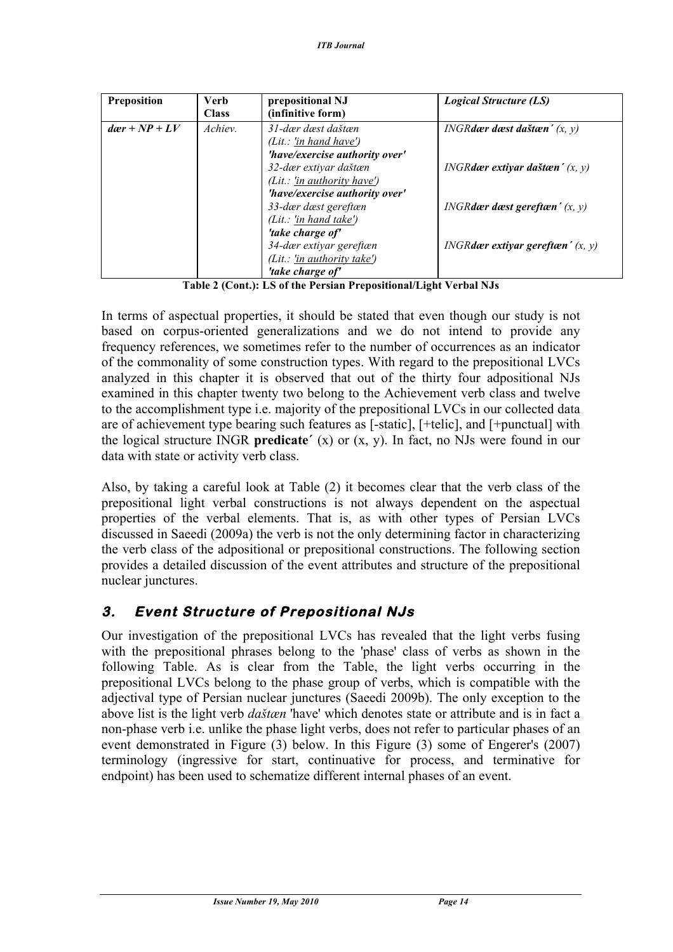| Preposition           | <b>Verb</b><br><b>Class</b> | prepositional NJ<br>(infinitive form) | <b>Logical Structure (LS)</b>                     |
|-----------------------|-----------------------------|---------------------------------------|---------------------------------------------------|
| $d\alpha r + NP + LV$ | Achiev.                     | 31-dær dæst daštæn                    | INGR <b>dær</b> dæst daštæn' $(x, y)$             |
|                       |                             | (Lit.: 'in hand have')                |                                                   |
|                       |                             | 'have/exercise authority over'        |                                                   |
|                       |                             | 32-dær extiyar daštæn                 | INGR <b>dær extiyar daštæn'</b> $(x, y)$          |
|                       |                             | (Lit.: 'in authority have')           |                                                   |
|                       |                             | 'have/exercise authority over'        |                                                   |
|                       |                             | 33-dær dæst gereftæn                  | <i>INGRdær dæst gereftæn' <math>(x, y)</math></i> |
|                       |                             | (Lit.: 'in hand take')                |                                                   |
|                       |                             | 'take charge of'                      |                                                   |
|                       |                             | 34-dær extiyar gereftæn               | <i>INGRdær extiyar gereftæn'</i> $(x, y)$         |
|                       |                             | (Lit.: 'in authority take')           |                                                   |
|                       |                             | 'take charge of'                      |                                                   |

**Table 2 (Cont.): LS of the Persian Prepositional/Light Verbal NJs**

In terms of aspectual properties, it should be stated that even though our study is not based on corpus-oriented generalizations and we do not intend to provide any frequency references, we sometimes refer to the number of occurrences as an indicator of the commonality of some construction types. With regard to the prepositional LVCs analyzed in this chapter it is observed that out of the thirty four adpositional NJs examined in this chapter twenty two belong to the Achievement verb class and twelve to the accomplishment type i.e. majority of the prepositional LVCs in our collected data are of achievement type bearing such features as [-static], [+telic], and [+punctual] with the logical structure INGR **predicate΄** (x) or (x, y). In fact, no NJs were found in our data with state or activity verb class.

Also, by taking a careful look at Table (2) it becomes clear that the verb class of the prepositional light verbal constructions is not always dependent on the aspectual properties of the verbal elements. That is, as with other types of Persian LVCs discussed in Saeedi (2009a) the verb is not the only determining factor in characterizing the verb class of the adpositional or prepositional constructions. The following section provides a detailed discussion of the event attributes and structure of the prepositional nuclear junctures.

### **3. Event Structure of Prepositional NJs**

Our investigation of the prepositional LVCs has revealed that the light verbs fusing with the prepositional phrases belong to the 'phase' class of verbs as shown in the following Table. As is clear from the Table, the light verbs occurring in the prepositional LVCs belong to the phase group of verbs, which is compatible with the adjectival type of Persian nuclear junctures (Saeedi 2009b). The only exception to the above list is the light verb *daštæn* 'have' which denotes state or attribute and is in fact a non-phase verb i.e. unlike the phase light verbs, does not refer to particular phases of an event demonstrated in Figure (3) below. In this Figure (3) some of Engerer's (2007) terminology (ingressive for start, continuative for process, and terminative for endpoint) has been used to schematize different internal phases of an event.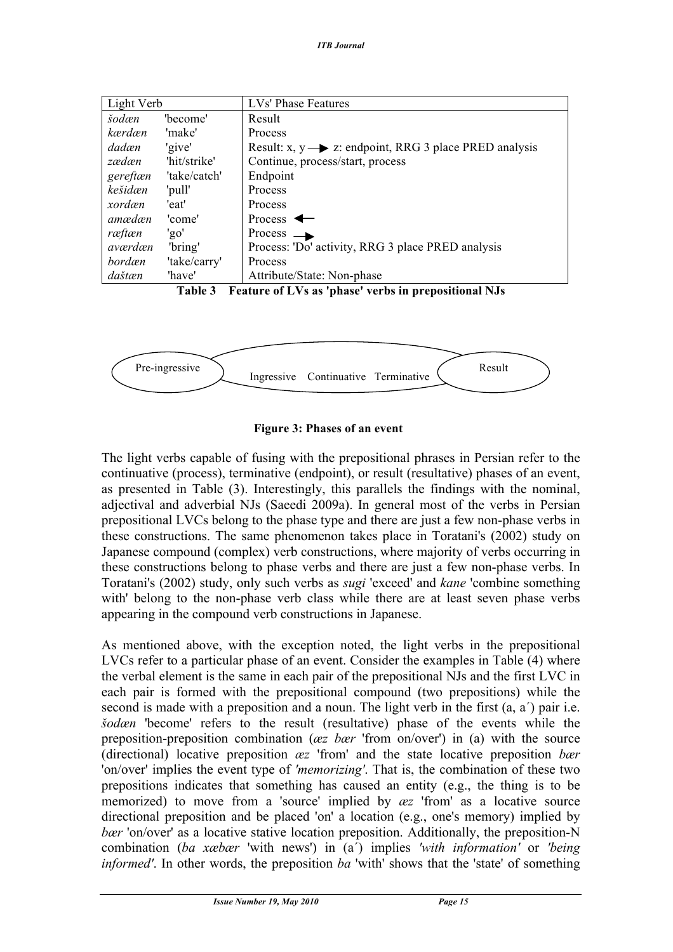| Light Verb |              | LVs' Phase Features                                                |
|------------|--------------|--------------------------------------------------------------------|
| šodæn      | 'become'     | Result                                                             |
| kærdæn     | 'make'       | Process                                                            |
| dadæn      | 'give'       | Result: $x, y \rightarrow z$ : endpoint, RRG 3 place PRED analysis |
| zædæn      | 'hit/strike' | Continue, process/start, process                                   |
| gereftæn   | 'take/catch' | Endpoint                                                           |
| kešidæn    | 'pull'       | Process                                                            |
| xordæn     | 'eat'        | Process                                                            |
| amædæn     | 'come'       | Process $\leftarrow$                                               |
| ræftæn     | 'go'         | Process<br>$\rightarrow$                                           |
| aværdæn    | 'bring'      | Process: 'Do' activity, RRG 3 place PRED analysis                  |
| bordæn     | 'take/carry' | Process                                                            |
| daštæn     | 'have'       | Attribute/State: Non-phase                                         |





#### **Figure 3: Phases of an event**

The light verbs capable of fusing with the prepositional phrases in Persian refer to the continuative (process), terminative (endpoint), or result (resultative) phases of an event, as presented in Table (3). Interestingly, this parallels the findings with the nominal, adjectival and adverbial NJs (Saeedi 2009a). In general most of the verbs in Persian prepositional LVCs belong to the phase type and there are just a few non-phase verbs in these constructions. The same phenomenon takes place in Toratani's (2002) study on Japanese compound (complex) verb constructions, where majority of verbs occurring in these constructions belong to phase verbs and there are just a few non-phase verbs. In Toratani's (2002) study, only such verbs as *sugi* 'exceed' and *kane* 'combine something with' belong to the non-phase verb class while there are at least seven phase verbs appearing in the compound verb constructions in Japanese.

As mentioned above, with the exception noted, the light verbs in the prepositional LVCs refer to a particular phase of an event. Consider the examples in Table (4) where the verbal element is the same in each pair of the prepositional NJs and the first LVC in each pair is formed with the prepositional compound (two prepositions) while the second is made with a preposition and a noun. The light verb in the first (a, a΄) pair i.e. *šodæn* 'become' refers to the result (resultative) phase of the events while the preposition-preposition combination (*æz bær* 'from on/over') in (a) with the source (directional) locative preposition *æz* 'from' and the state locative preposition *bær* 'on/over' implies the event type of *'memorizing'*. That is, the combination of these two prepositions indicates that something has caused an entity (e.g., the thing is to be memorized) to move from a 'source' implied by *æz* 'from' as a locative source directional preposition and be placed 'on' a location (e.g., one's memory) implied by *bær* 'on/over' as a locative stative location preposition. Additionally, the preposition-N combination (*ba xæbær* 'with news') in (a΄) implies *'with information'* or *'being informed'*. In other words, the preposition *ba* 'with' shows that the 'state' of something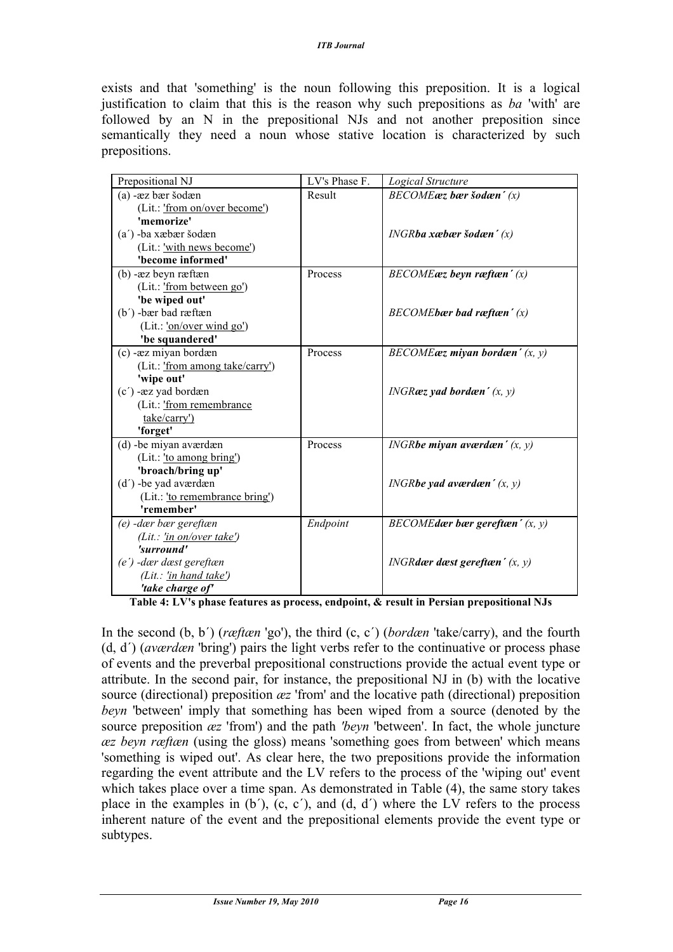exists and that 'something' is the noun following this preposition. It is a logical justification to claim that this is the reason why such prepositions as *ba* 'with' are followed by an N in the prepositional NJs and not another preposition since semantically they need a noun whose stative location is characterized by such prepositions.

| Prepositional NJ                                    | LV's Phase F. | Logical Structure                         |
|-----------------------------------------------------|---------------|-------------------------------------------|
| (a) - æz bær šodæn                                  | Result        | $BECOME$ æz bær šodæn' $(x)$              |
| (Lit.: 'from on/over become')                       |               |                                           |
| 'memorize'                                          |               |                                           |
| (a') -ba xæbær šodæn                                |               | $INGR$ ba xæbær šodæn' $(x)$              |
| (Lit.: 'with news become')                          |               |                                           |
| 'become informed'                                   |               |                                           |
| $(b)$ - $xz$ beyn ræftæn                            | Process       | $BECOME$ <i>az</i> beyn raeftaen' $(x)$   |
| (Lit.: 'from between go')                           |               |                                           |
| 'be wiped out'                                      |               |                                           |
| (b') -bær bad ræftæn                                |               | $BECOME$ bær bad ræftæn' $(x)$            |
| (Lit.: 'on/over wind go')                           |               |                                           |
| 'be squandered'                                     |               |                                           |
| (c) - æz miyan bordæn                               | Process       | $BECOME$ <i>az</i> miyan bordan' $(x, y)$ |
| (Lit.: 'from among take/carry')                     |               |                                           |
| 'wipe out'                                          |               |                                           |
| (c') -æz yad bordæn                                 |               | INGRæz yad bordæn' $(x, y)$               |
| (Lit.: 'from remembrance                            |               |                                           |
| take/carry')                                        |               |                                           |
| 'forget'                                            |               |                                           |
| (d) -be miyan aværdæn                               | Process       | INGR <b>be miyan aværdæn'</b> $(x, y)$    |
| (Lit.: 'to among bring')                            |               |                                           |
| 'broach/bring up'                                   |               |                                           |
| (d') -be yad aværdæn                                |               | INGRbe yad aværdæn' $(x, y)$              |
| (Lit.: 'to remembrance bring')                      |               |                                           |
| 'remember'                                          |               |                                           |
| (e) -dær bær gereftæn                               | Endpoint      | $BECOME$ dær bær gereftæn' $(x, y)$       |
| (Lit.: $\frac{\ln \text{on}/\text{over take}'}{}$ ) |               |                                           |
| 'surround'                                          |               |                                           |
| (e') -dær dæst gereftæn                             |               | INGRdær dæst gereftæn' $(x, y)$           |
| (Lit.: 'in hand take')                              |               |                                           |
| 'take charge of'                                    |               |                                           |

**Table 4: LV's phase features as process, endpoint, & result in Persian prepositional NJs**

In the second (b, b΄) (*ræftæn* 'go'), the third (c, c΄) (*bordæn* 'take/carry), and the fourth (d, d΄) (*aværdæn* 'bring') pairs the light verbs refer to the continuative or process phase of events and the preverbal prepositional constructions provide the actual event type or attribute. In the second pair, for instance, the prepositional NJ in (b) with the locative source (directional) preposition *æz* 'from' and the locative path (directional) preposition *beyn* 'between' imply that something has been wiped from a source (denoted by the source preposition *æz* 'from') and the path *'beyn* 'between'. In fact, the whole juncture *æz beyn ræftæn* (using the gloss) means 'something goes from between' which means 'something is wiped out'. As clear here, the two prepositions provide the information regarding the event attribute and the LV refers to the process of the 'wiping out' event which takes place over a time span. As demonstrated in Table (4), the same story takes place in the examples in  $(b')$ ,  $(c, c')$ , and  $(d, d')$  where the LV refers to the process inherent nature of the event and the prepositional elements provide the event type or subtypes.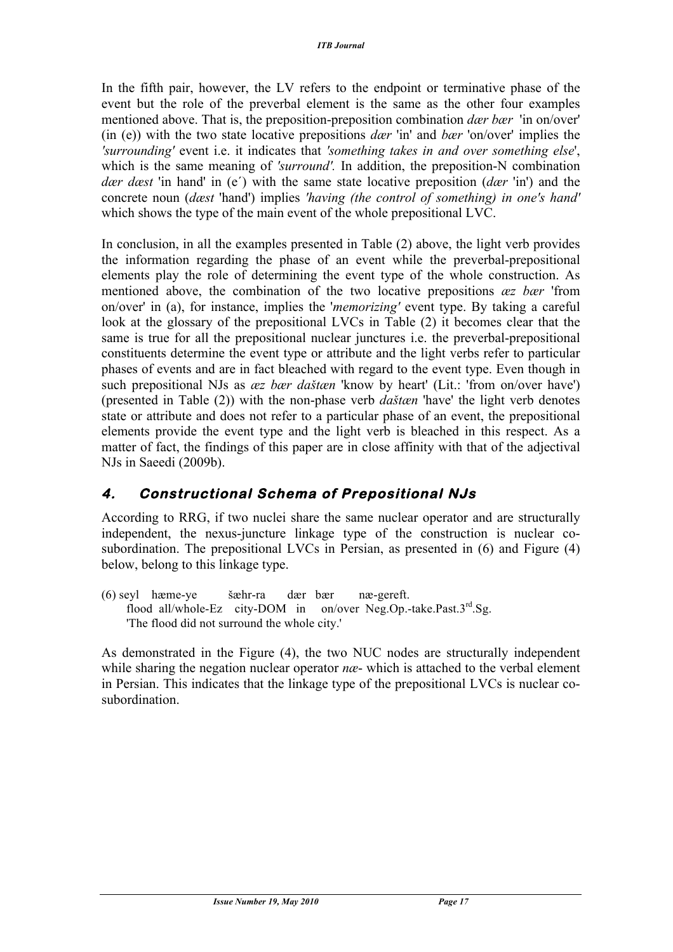In the fifth pair, however, the LV refers to the endpoint or terminative phase of the event but the role of the preverbal element is the same as the other four examples mentioned above. That is, the preposition-preposition combination *dær bær* 'in on/over' (in (e)) with the two state locative prepositions *dær* 'in' and *bær* 'on/over' implies the *'surrounding'* event i.e. it indicates that *'something takes in and over something else*', which is the same meaning of *'surround'*. In addition, the preposition-N combination *dær dæst* 'in hand' in (e΄) with the same state locative preposition (*dær* 'in') and the concrete noun (*dæst* 'hand') implies *'having (the control of something) in one's hand'* which shows the type of the main event of the whole prepositional LVC.

In conclusion, in all the examples presented in Table (2) above, the light verb provides the information regarding the phase of an event while the preverbal-prepositional elements play the role of determining the event type of the whole construction. As mentioned above, the combination of the two locative prepositions *æz bær* 'from on/over' in (a), for instance, implies the '*memorizing'* event type. By taking a careful look at the glossary of the prepositional LVCs in Table (2) it becomes clear that the same is true for all the prepositional nuclear junctures i.e. the preverbal-prepositional constituents determine the event type or attribute and the light verbs refer to particular phases of events and are in fact bleached with regard to the event type. Even though in such prepositional NJs as *æz bær daštæn* 'know by heart' (Lit.: 'from on/over have') (presented in Table (2)) with the non-phase verb *daštæn* 'have' the light verb denotes state or attribute and does not refer to a particular phase of an event, the prepositional elements provide the event type and the light verb is bleached in this respect. As a matter of fact, the findings of this paper are in close affinity with that of the adjectival NJs in Saeedi (2009b).

### **4. Constructional Schema of Prepositional NJs**

According to RRG, if two nuclei share the same nuclear operator and are structurally independent, the nexus-juncture linkage type of the construction is nuclear cosubordination. The prepositional LVCs in Persian, as presented in (6) and Figure (4) below, belong to this linkage type.

(6) seyl hæme-ye šæhr-ra dær bær næ-gereft. flood all/whole-Ez city-DOM in on/over Neg.Op.-take.Past.3<sup>rd</sup>.Sg. 'The flood did not surround the whole city.'

As demonstrated in the Figure (4), the two NUC nodes are structurally independent while sharing the negation nuclear operator *nce*- which is attached to the verbal element in Persian. This indicates that the linkage type of the prepositional LVCs is nuclear cosubordination.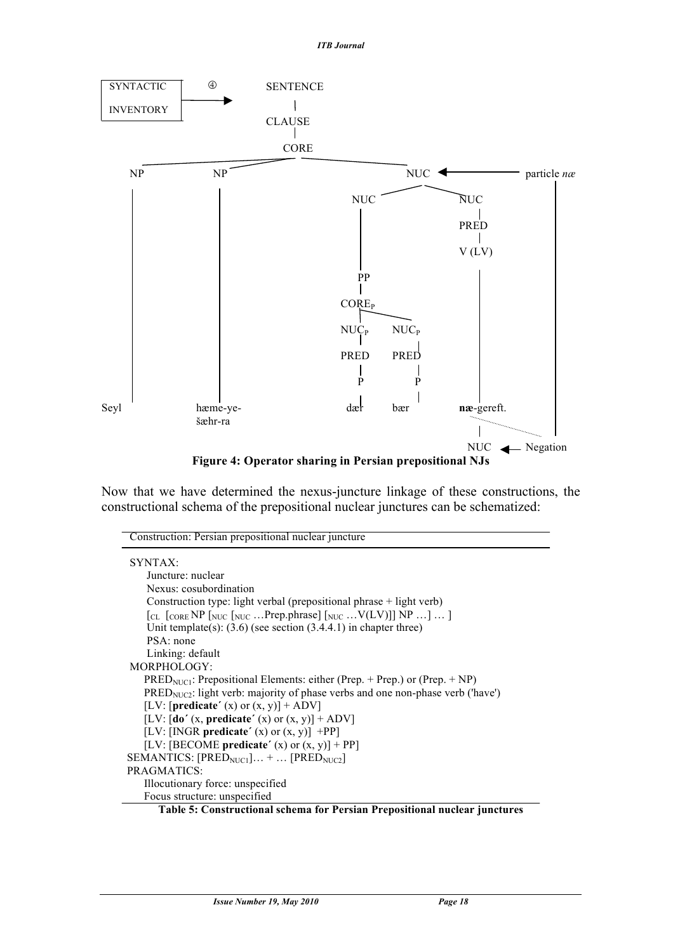

Now that we have determined the nexus-juncture linkage of these constructions, the constructional schema of the prepositional nuclear junctures can be schematized:

| Construction: Persian prepositional nuclear juncture                                                                  |
|-----------------------------------------------------------------------------------------------------------------------|
| SYNTAX:                                                                                                               |
| Juncture: nuclear                                                                                                     |
| Nexus: cosubordination                                                                                                |
| Construction type: light verbal (prepositional phrase + light verb)                                                   |
| $\lceil_{CL} \rceil_{CORE} NP \lceil_{NUC} \rceil_{NUC} $ Prep.phrase $\lceil_{NUC}  V(LV) \rceil \rceil NP  \rceil $ |
| Unit template(s): $(3.6)$ (see section $(3.4.4.1)$ ) in chapter three)                                                |
| PSA: none                                                                                                             |
| Linking: default                                                                                                      |
| MORPHOLOGY:                                                                                                           |
| $PRED_{NUCI}$ : Prepositional Elements: either (Prep. + Prep.) or (Prep. + NP)                                        |
| $PREDNUC2$ : light verb: majority of phase verbs and one non-phase verb ('have')                                      |
| [LV: [predicate' (x) or $(x, y)$ ] + ADV]                                                                             |
| [LV: $\left[$ <b>do'</b> (x, <b>predicate'</b> (x) or (x, y)] + ADV]                                                  |
| [LV: [INGR predicate' $(x)$ or $(x, y)$ ] +PP]                                                                        |
| [LV: [BECOME predicate' $(x)$ or $(x, y)$ ] + PP]                                                                     |
| SEMANTICS: $[PREDNUC1] +  [PREDNUC2]$                                                                                 |
| PRAGMATICS:                                                                                                           |
| Illocutionary force: unspecified                                                                                      |
| Focus structure: unspecified                                                                                          |
| Toble 5. Constructional schome for Develop Drepositional publicar inputures                                           |